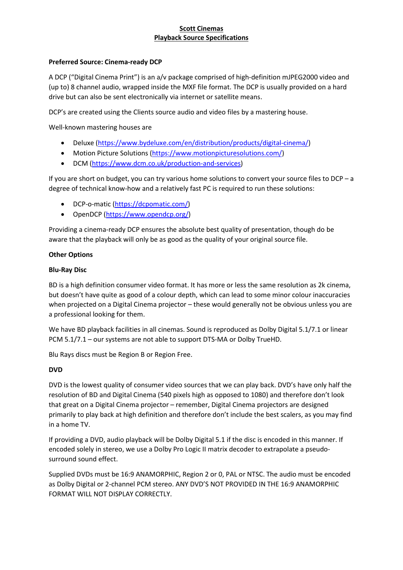## Preferred Source: Cinema-ready DCP

A DCP ("Digital Cinema Print") is an a/v package comprised of high-definition mJPEG2000 video and (up to) 8 channel audio, wrapped inside the MXF file format. The DCP is usually provided on a hard drive but can also be sent electronically via internet or satellite means.

DCP's are created using the Clients source audio and video files by a mastering house.

Well-known mastering houses are

- Deluxe (https://www.bydeluxe.com/en/distribution/products/digital-cinema/)
- Motion Picture Solutions (https://www.motionpicturesolutions.com/)
- DCM (https://www.dcm.co.uk/production-and-services)

If you are short on budget, you can try various home solutions to convert your source files to DCP – a degree of technical know-how and a relatively fast PC is required to run these solutions:

- DCP-o-matic (https://dcpomatic.com/)
- OpenDCP (https://www.opendcp.org/)

Providing a cinema-ready DCP ensures the absolute best quality of presentation, though do be aware that the playback will only be as good as the quality of your original source file.

## Other Options

## Blu-Ray Disc

BD is a high definition consumer video format. It has more or less the same resolution as 2k cinema, but doesn't have quite as good of a colour depth, which can lead to some minor colour inaccuracies when projected on a Digital Cinema projector – these would generally not be obvious unless you are a professional looking for them.

We have BD playback facilities in all cinemas. Sound is reproduced as Dolby Digital 5.1/7.1 or linear PCM 5.1/7.1 – our systems are not able to support DTS-MA or Dolby TrueHD.

Blu Rays discs must be Region B or Region Free.

# DVD

DVD is the lowest quality of consumer video sources that we can play back. DVD's have only half the resolution of BD and Digital Cinema (540 pixels high as opposed to 1080) and therefore don't look that great on a Digital Cinema projector – remember, Digital Cinema projectors are designed primarily to play back at high definition and therefore don't include the best scalers, as you may find in a home TV.

If providing a DVD, audio playback will be Dolby Digital 5.1 if the disc is encoded in this manner. If encoded solely in stereo, we use a Dolby Pro Logic II matrix decoder to extrapolate a pseudosurround sound effect.

Supplied DVDs must be 16:9 ANAMORPHIC, Region 2 or 0, PAL or NTSC. The audio must be encoded as Dolby Digital or 2-channel PCM stereo. ANY DVD'S NOT PROVIDED IN THE 16:9 ANAMORPHIC FORMAT WILL NOT DISPLAY CORRECTLY.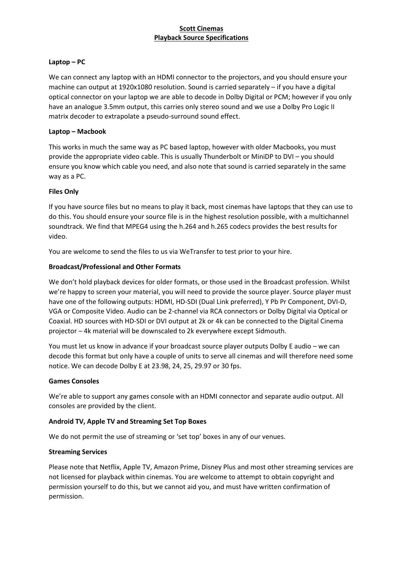## Laptop – PC

We can connect any laptop with an HDMI connector to the projectors, and you should ensure your machine can output at 1920x1080 resolution. Sound is carried separately – if you have a digital optical connector on your laptop we are able to decode in Dolby Digital or PCM; however if you only have an analogue 3.5mm output, this carries only stereo sound and we use a Dolby Pro Logic II matrix decoder to extrapolate a pseudo-surround sound effect.

### Laptop – Macbook

This works in much the same way as PC based laptop, however with older Macbooks, you must provide the appropriate video cable. This is usually Thunderbolt or MiniDP to DVI – you should ensure you know which cable you need, and also note that sound is carried separately in the same way as a PC.

## Files Only

If you have source files but no means to play it back, most cinemas have laptops that they can use to do this. You should ensure your source file is in the highest resolution possible, with a multichannel soundtrack. We find that MPEG4 using the h.264 and h.265 codecs provides the best results for video.

You are welcome to send the files to us via WeTransfer to test prior to your hire.

## Broadcast/Professional and Other Formats

We don't hold playback devices for older formats, or those used in the Broadcast profession. Whilst we're happy to screen your material, you will need to provide the source player. Source player must have one of the following outputs: HDMI, HD-SDI (Dual Link preferred), Y Pb Pr Component, DVI-D, VGA or Composite Video. Audio can be 2-channel via RCA connectors or Dolby Digital via Optical or Coaxial. HD sources with HD-SDI or DVI output at 2k or 4k can be connected to the Digital Cinema projector – 4k material will be downscaled to 2k everywhere except Sidmouth.

You must let us know in advance if your broadcast source player outputs Dolby E audio – we can decode this format but only have a couple of units to serve all cinemas and will therefore need some notice. We can decode Dolby E at 23.98, 24, 25, 29.97 or 30 fps.

#### Games Consoles

We're able to support any games console with an HDMI connector and separate audio output. All consoles are provided by the client.

# Android TV, Apple TV and Streaming Set Top Boxes

We do not permit the use of streaming or 'set top' boxes in any of our venues.

#### Streaming Services

Please note that Netflix, Apple TV, Amazon Prime, Disney Plus and most other streaming services are not licensed for playback within cinemas. You are welcome to attempt to obtain copyright and permission yourself to do this, but we cannot aid you, and must have written confirmation of permission.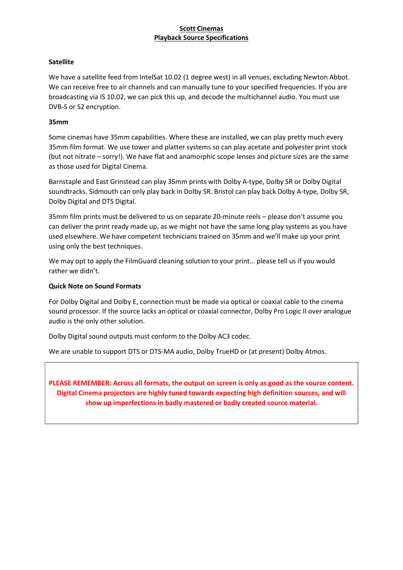### **Satellite**

We have a satellite feed from IntelSat 10.02 (1 degree west) in all venues, excluding Newton Abbot. We can receive free to air channels and can manually tune to your specified frequencies. If you are broadcasting via IS 10.02, we can pick this up, and decode the multichannel audio. You must use DVB-S or S2 encryption.

## 35mm

Some cinemas have 35mm capabilities. Where these are installed, we can play pretty much every 35mm film format. We use tower and platter systems so can play acetate and polyester print stock (but not nitrate – sorry!). We have flat and anamorphic scope lenses and picture sizes are the same as those used for Digital Cinema.

Barnstaple and East Grinstead can play 35mm prints with Dolby A-type, Dolby SR or Dolby Digital soundtracks. Sidmouth can only play back in Dolby SR. Bristol can play back Dolby A-type, Dolby SR, Dolby Digital and DTS Digital.

35mm film prints must be delivered to us on separate 20-minute reels – please don't assume you can deliver the print ready made up, as we might not have the same long play systems as you have used elsewhere. We have competent technicians trained on 35mm and we'll make up your print using only the best techniques.

We may opt to apply the FilmGuard cleaning solution to your print… please tell us if you would rather we didn't.

### Quick Note on Sound Formats

For Dolby Digital and Dolby E, connection must be made via optical or coaxial cable to the cinema sound processor. If the source lacks an optical or coaxial connector, Dolby Pro Logic II over analogue audio is the only other solution.

Dolby Digital sound outputs must conform to the Dolby AC3 codec.

We are unable to support DTS or DTS-MA audio, Dolby TrueHD or (at present) Dolby Atmos.

PLEASE REMEMBER: Across all formats, the output on screen is only as good as the source content. Digital Cinema projectors are highly tuned towards expecting high definition sources, and will show up imperfections in badly mastered or badly created source material.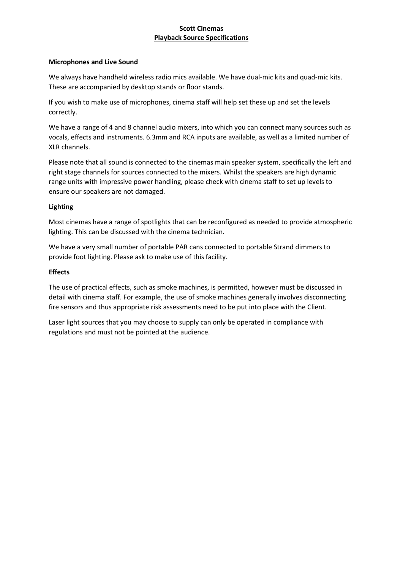#### Microphones and Live Sound

We always have handheld wireless radio mics available. We have dual-mic kits and quad-mic kits. These are accompanied by desktop stands or floor stands.

If you wish to make use of microphones, cinema staff will help set these up and set the levels correctly.

We have a range of 4 and 8 channel audio mixers, into which you can connect many sources such as vocals, effects and instruments. 6.3mm and RCA inputs are available, as well as a limited number of XLR channels.

Please note that all sound is connected to the cinemas main speaker system, specifically the left and right stage channels for sources connected to the mixers. Whilst the speakers are high dynamic range units with impressive power handling, please check with cinema staff to set up levels to ensure our speakers are not damaged.

#### Lighting

Most cinemas have a range of spotlights that can be reconfigured as needed to provide atmospheric lighting. This can be discussed with the cinema technician.

We have a very small number of portable PAR cans connected to portable Strand dimmers to provide foot lighting. Please ask to make use of this facility.

#### **Effects**

The use of practical effects, such as smoke machines, is permitted, however must be discussed in detail with cinema staff. For example, the use of smoke machines generally involves disconnecting fire sensors and thus appropriate risk assessments need to be put into place with the Client.

Laser light sources that you may choose to supply can only be operated in compliance with regulations and must not be pointed at the audience.